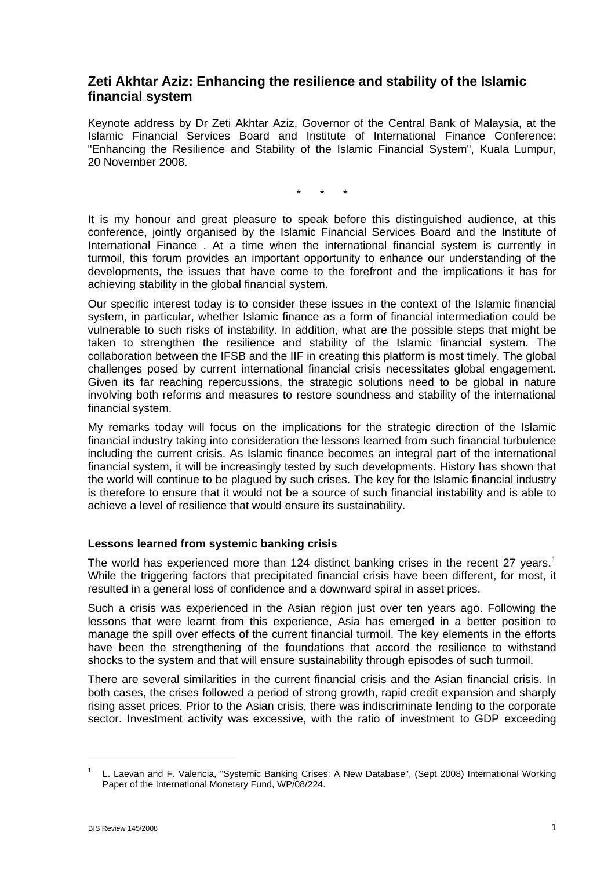# **Zeti Akhtar Aziz: Enhancing the resilience and stability of the Islamic financial system**

Keynote address by Dr Zeti Akhtar Aziz, Governor of the Central Bank of Malaysia, at the Islamic Financial Services Board and Institute of International Finance Conference: "Enhancing the Resilience and Stability of the Islamic Financial System", Kuala Lumpur, 20 November 2008.

\* \* \*

It is my honour and great pleasure to speak before this distinguished audience, at this conference, jointly organised by the Islamic Financial Services Board and the Institute of International Finance . At a time when the international financial system is currently in turmoil, this forum provides an important opportunity to enhance our understanding of the developments, the issues that have come to the forefront and the implications it has for achieving stability in the global financial system.

Our specific interest today is to consider these issues in the context of the Islamic financial system, in particular, whether Islamic finance as a form of financial intermediation could be vulnerable to such risks of instability. In addition, what are the possible steps that might be taken to strengthen the resilience and stability of the Islamic financial system. The collaboration between the IFSB and the IIF in creating this platform is most timely. The global challenges posed by current international financial crisis necessitates global engagement. Given its far reaching repercussions, the strategic solutions need to be global in nature involving both reforms and measures to restore soundness and stability of the international financial system.

My remarks today will focus on the implications for the strategic direction of the Islamic financial industry taking into consideration the lessons learned from such financial turbulence including the current crisis. As Islamic finance becomes an integral part of the international financial system, it will be increasingly tested by such developments. History has shown that the world will continue to be plagued by such crises. The key for the Islamic financial industry is therefore to ensure that it would not be a source of such financial instability and is able to achieve a level of resilience that would ensure its sustainability.

## **Lessons learned from systemic banking crisis**

The world has experienced more than [1](#page-0-0)24 distinct banking crises in the recent 27 years.<sup>1</sup> While the triggering factors that precipitated financial crisis have been different, for most, it resulted in a general loss of confidence and a downward spiral in asset prices.

Such a crisis was experienced in the Asian region just over ten years ago. Following the lessons that were learnt from this experience, Asia has emerged in a better position to manage the spill over effects of the current financial turmoil. The key elements in the efforts have been the strengthening of the foundations that accord the resilience to withstand shocks to the system and that will ensure sustainability through episodes of such turmoil.

There are several similarities in the current financial crisis and the Asian financial crisis. In both cases, the crises followed a period of strong growth, rapid credit expansion and sharply rising asset prices. Prior to the Asian crisis, there was indiscriminate lending to the corporate sector. Investment activity was excessive, with the ratio of investment to GDP exceeding

1

<span id="page-0-0"></span><sup>1</sup> L. Laevan and F. Valencia, "Systemic Banking Crises: A New Database", (Sept 2008) International Working Paper of the International Monetary Fund, WP/08/224.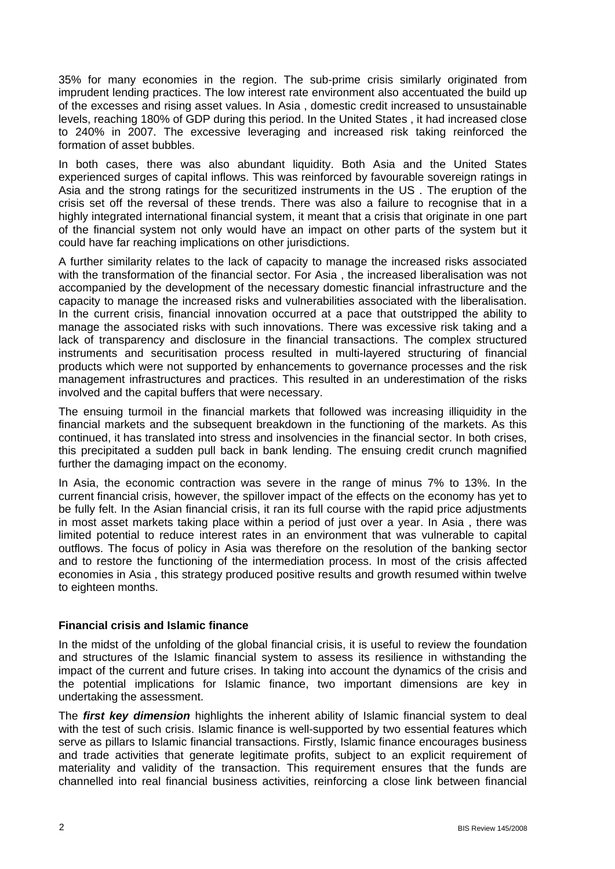35% for many economies in the region. The sub-prime crisis similarly originated from imprudent lending practices. The low interest rate environment also accentuated the build up of the excesses and rising asset values. In Asia , domestic credit increased to unsustainable levels, reaching 180% of GDP during this period. In the United States , it had increased close to 240% in 2007. The excessive leveraging and increased risk taking reinforced the formation of asset bubbles.

In both cases, there was also abundant liquidity. Both Asia and the United States experienced surges of capital inflows. This was reinforced by favourable sovereign ratings in Asia and the strong ratings for the securitized instruments in the US . The eruption of the crisis set off the reversal of these trends. There was also a failure to recognise that in a highly integrated international financial system, it meant that a crisis that originate in one part of the financial system not only would have an impact on other parts of the system but it could have far reaching implications on other jurisdictions.

A further similarity relates to the lack of capacity to manage the increased risks associated with the transformation of the financial sector. For Asia , the increased liberalisation was not accompanied by the development of the necessary domestic financial infrastructure and the capacity to manage the increased risks and vulnerabilities associated with the liberalisation. In the current crisis, financial innovation occurred at a pace that outstripped the ability to manage the associated risks with such innovations. There was excessive risk taking and a lack of transparency and disclosure in the financial transactions. The complex structured instruments and securitisation process resulted in multi-layered structuring of financial products which were not supported by enhancements to governance processes and the risk management infrastructures and practices. This resulted in an underestimation of the risks involved and the capital buffers that were necessary.

The ensuing turmoil in the financial markets that followed was increasing illiquidity in the financial markets and the subsequent breakdown in the functioning of the markets. As this continued, it has translated into stress and insolvencies in the financial sector. In both crises, this precipitated a sudden pull back in bank lending. The ensuing credit crunch magnified further the damaging impact on the economy.

In Asia, the economic contraction was severe in the range of minus 7% to 13%. In the current financial crisis, however, the spillover impact of the effects on the economy has yet to be fully felt. In the Asian financial crisis, it ran its full course with the rapid price adjustments in most asset markets taking place within a period of just over a year. In Asia , there was limited potential to reduce interest rates in an environment that was vulnerable to capital outflows. The focus of policy in Asia was therefore on the resolution of the banking sector and to restore the functioning of the intermediation process. In most of the crisis affected economies in Asia , this strategy produced positive results and growth resumed within twelve to eighteen months.

## **Financial crisis and Islamic finance**

In the midst of the unfolding of the global financial crisis, it is useful to review the foundation and structures of the Islamic financial system to assess its resilience in withstanding the impact of the current and future crises. In taking into account the dynamics of the crisis and the potential implications for Islamic finance, two important dimensions are key in undertaking the assessment.

The *first key dimension* highlights the inherent ability of Islamic financial system to deal with the test of such crisis. Islamic finance is well-supported by two essential features which serve as pillars to Islamic financial transactions. Firstly, Islamic finance encourages business and trade activities that generate legitimate profits, subject to an explicit requirement of materiality and validity of the transaction. This requirement ensures that the funds are channelled into real financial business activities, reinforcing a close link between financial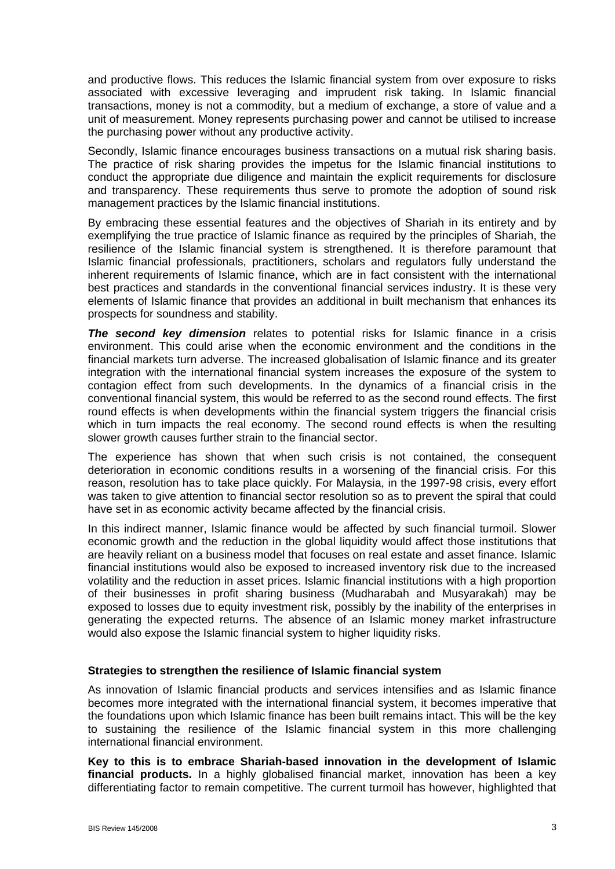and productive flows. This reduces the Islamic financial system from over exposure to risks associated with excessive leveraging and imprudent risk taking. In Islamic financial transactions, money is not a commodity, but a medium of exchange, a store of value and a unit of measurement. Money represents purchasing power and cannot be utilised to increase the purchasing power without any productive activity.

Secondly, Islamic finance encourages business transactions on a mutual risk sharing basis. The practice of risk sharing provides the impetus for the Islamic financial institutions to conduct the appropriate due diligence and maintain the explicit requirements for disclosure and transparency. These requirements thus serve to promote the adoption of sound risk management practices by the Islamic financial institutions.

By embracing these essential features and the objectives of Shariah in its entirety and by exemplifying the true practice of Islamic finance as required by the principles of Shariah, the resilience of the Islamic financial system is strengthened. It is therefore paramount that Islamic financial professionals, practitioners, scholars and regulators fully understand the inherent requirements of Islamic finance, which are in fact consistent with the international best practices and standards in the conventional financial services industry. It is these very elements of Islamic finance that provides an additional in built mechanism that enhances its prospects for soundness and stability.

*The second key dimension* relates to potential risks for Islamic finance in a crisis environment. This could arise when the economic environment and the conditions in the financial markets turn adverse. The increased globalisation of Islamic finance and its greater integration with the international financial system increases the exposure of the system to contagion effect from such developments. In the dynamics of a financial crisis in the conventional financial system, this would be referred to as the second round effects. The first round effects is when developments within the financial system triggers the financial crisis which in turn impacts the real economy. The second round effects is when the resulting slower growth causes further strain to the financial sector.

The experience has shown that when such crisis is not contained, the consequent deterioration in economic conditions results in a worsening of the financial crisis. For this reason, resolution has to take place quickly. For Malaysia, in the 1997-98 crisis, every effort was taken to give attention to financial sector resolution so as to prevent the spiral that could have set in as economic activity became affected by the financial crisis.

In this indirect manner, Islamic finance would be affected by such financial turmoil. Slower economic growth and the reduction in the global liquidity would affect those institutions that are heavily reliant on a business model that focuses on real estate and asset finance. Islamic financial institutions would also be exposed to increased inventory risk due to the increased volatility and the reduction in asset prices. Islamic financial institutions with a high proportion of their businesses in profit sharing business (Mudharabah and Musyarakah) may be exposed to losses due to equity investment risk, possibly by the inability of the enterprises in generating the expected returns. The absence of an Islamic money market infrastructure would also expose the Islamic financial system to higher liquidity risks.

#### **Strategies to strengthen the resilience of Islamic financial system**

As innovation of Islamic financial products and services intensifies and as Islamic finance becomes more integrated with the international financial system, it becomes imperative that the foundations upon which Islamic finance has been built remains intact. This will be the key to sustaining the resilience of the Islamic financial system in this more challenging international financial environment.

**Key to this is to embrace Shariah-based innovation in the development of Islamic financial products.** In a highly globalised financial market, innovation has been a key differentiating factor to remain competitive. The current turmoil has however, highlighted that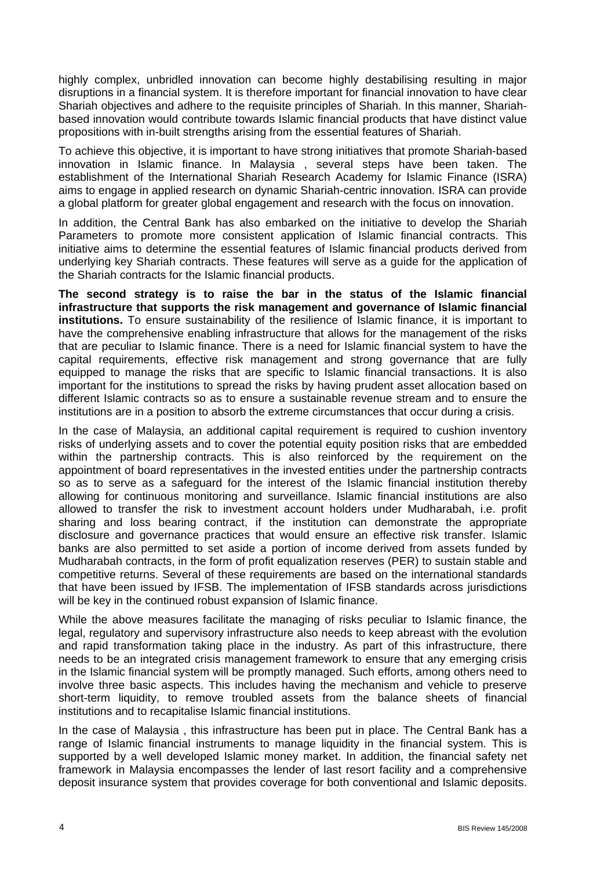highly complex, unbridled innovation can become highly destabilising resulting in major disruptions in a financial system. It is therefore important for financial innovation to have clear Shariah objectives and adhere to the requisite principles of Shariah. In this manner, Shariahbased innovation would contribute towards Islamic financial products that have distinct value propositions with in-built strengths arising from the essential features of Shariah.

To achieve this objective, it is important to have strong initiatives that promote Shariah-based innovation in Islamic finance. In Malaysia , several steps have been taken. The establishment of the International Shariah Research Academy for Islamic Finance (ISRA) aims to engage in applied research on dynamic Shariah-centric innovation. ISRA can provide a global platform for greater global engagement and research with the focus on innovation.

In addition, the Central Bank has also embarked on the initiative to develop the Shariah Parameters to promote more consistent application of Islamic financial contracts. This initiative aims to determine the essential features of Islamic financial products derived from underlying key Shariah contracts. These features will serve as a guide for the application of the Shariah contracts for the Islamic financial products.

**The second strategy is to raise the bar in the status of the Islamic financial infrastructure that supports the risk management and governance of Islamic financial institutions.** To ensure sustainability of the resilience of Islamic finance, it is important to have the comprehensive enabling infrastructure that allows for the management of the risks that are peculiar to Islamic finance. There is a need for Islamic financial system to have the capital requirements, effective risk management and strong governance that are fully equipped to manage the risks that are specific to Islamic financial transactions. It is also important for the institutions to spread the risks by having prudent asset allocation based on different Islamic contracts so as to ensure a sustainable revenue stream and to ensure the institutions are in a position to absorb the extreme circumstances that occur during a crisis.

In the case of Malaysia, an additional capital requirement is required to cushion inventory risks of underlying assets and to cover the potential equity position risks that are embedded within the partnership contracts. This is also reinforced by the requirement on the appointment of board representatives in the invested entities under the partnership contracts so as to serve as a safeguard for the interest of the Islamic financial institution thereby allowing for continuous monitoring and surveillance. Islamic financial institutions are also allowed to transfer the risk to investment account holders under Mudharabah, i.e. profit sharing and loss bearing contract, if the institution can demonstrate the appropriate disclosure and governance practices that would ensure an effective risk transfer. Islamic banks are also permitted to set aside a portion of income derived from assets funded by Mudharabah contracts, in the form of profit equalization reserves (PER) to sustain stable and competitive returns. Several of these requirements are based on the international standards that have been issued by IFSB. The implementation of IFSB standards across jurisdictions will be key in the continued robust expansion of Islamic finance.

While the above measures facilitate the managing of risks peculiar to Islamic finance, the legal, regulatory and supervisory infrastructure also needs to keep abreast with the evolution and rapid transformation taking place in the industry. As part of this infrastructure, there needs to be an integrated crisis management framework to ensure that any emerging crisis in the Islamic financial system will be promptly managed. Such efforts, among others need to involve three basic aspects. This includes having the mechanism and vehicle to preserve short-term liquidity, to remove troubled assets from the balance sheets of financial institutions and to recapitalise Islamic financial institutions.

In the case of Malaysia , this infrastructure has been put in place. The Central Bank has a range of Islamic financial instruments to manage liquidity in the financial system. This is supported by a well developed Islamic money market. In addition, the financial safety net framework in Malaysia encompasses the lender of last resort facility and a comprehensive deposit insurance system that provides coverage for both conventional and Islamic deposits.